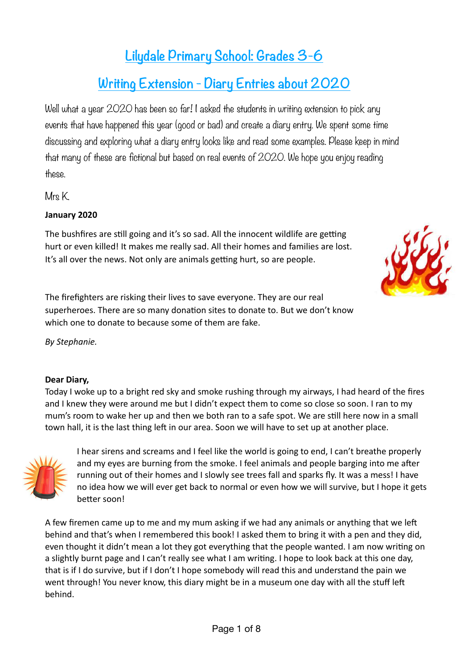# **Lilydale Primary School: Grades 3-6**

## **Writing Extension - Diary Entries about 2020**

Well what a year 2020 has been so far! I asked the students in writing extension to pick any events that have happened this year (good or bad) and create a diary entry. We spent some time discussing and exploring what a diary entry looks like and read some examples. Please keep in mind that many of these are fictional but based on real events of 2020. We hope you enjoy reading these.

Mrs K.

## **January 2020**

The bushfires are still going and it's so sad. All the innocent wildlife are getting hurt or even killed! It makes me really sad. All their homes and families are lost. It's all over the news. Not only are animals getting hurt, so are people.



*By Stephanie.* 

#### **Dear Diary,**

Today I woke up to a bright red sky and smoke rushing through my airways, I had heard of the fires and I knew they were around me but I didn't expect them to come so close so soon. I ran to my mum's room to wake her up and then we both ran to a safe spot. We are still here now in a small town hall, it is the last thing left in our area. Soon we will have to set up at another place.



I hear sirens and screams and I feel like the world is going to end, I can't breathe properly and my eyes are burning from the smoke. I feel animals and people barging into me after running out of their homes and I slowly see trees fall and sparks fly. It was a mess! I have no idea how we will ever get back to normal or even how we will survive, but I hope it gets better soon!

A few firemen came up to me and my mum asking if we had any animals or anything that we left behind and that's when I remembered this book! I asked them to bring it with a pen and they did, even thought it didn't mean a lot they got everything that the people wanted. I am now writing on a slightly burnt page and I can't really see what I am writing. I hope to look back at this one day, that is if I do survive, but if I don't I hope somebody will read this and understand the pain we went through! You never know, this diary might be in a museum one day with all the stuff left behind.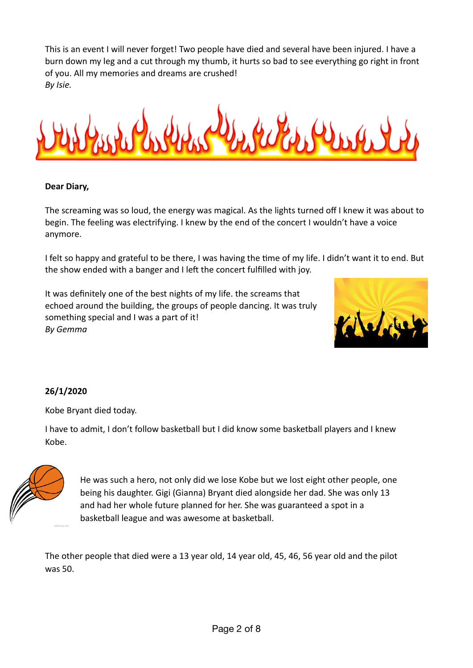This is an event I will never forget! Two people have died and several have been injured. I have a burn down my leg and a cut through my thumb, it hurts so bad to see everything go right in front of you. All my memories and dreams are crushed! *By Isie.*



#### **Dear Diary,**

The screaming was so loud, the energy was magical. As the lights turned off I knew it was about to begin. The feeling was electrifying. I knew by the end of the concert I wouldn't have a voice anymore.

I felt so happy and grateful to be there, I was having the time of my life. I didn't want it to end. But the show ended with a banger and I left the concert fulfilled with joy.

It was definitely one of the best nights of my life. the screams that echoed around the building, the groups of people dancing. It was truly something special and I was a part of it! *By Gemma* 



## **26/1/2020**

Kobe Bryant died today.

I have to admit, I don't follow basketball but I did know some basketball players and I knew Kobe.



He was such a hero, not only did we lose Kobe but we lost eight other people, one being his daughter. Gigi (Gianna) Bryant died alongside her dad. She was only 13 and had her whole future planned for her. She was guaranteed a spot in a basketball league and was awesome at basketball.

The other people that died were a 13 year old, 14 year old, 45, 46, 56 year old and the pilot was 50.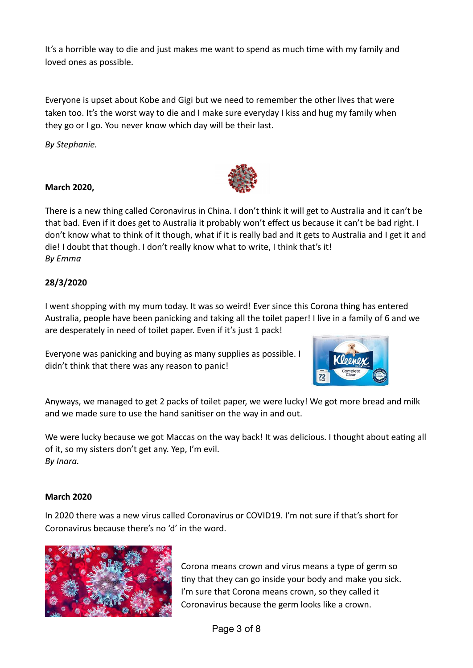It's a horrible way to die and just makes me want to spend as much time with my family and loved ones as possible.

Everyone is upset about Kobe and Gigi but we need to remember the other lives that were taken too. It's the worst way to die and I make sure everyday I kiss and hug my family when they go or I go. You never know which day will be their last.

*By Stephanie.*

#### **March 2020,**

There is a new thing called Coronavirus in China. I don't think it will get to Australia and it can't be that bad. Even if it does get to Australia it probably won't effect us because it can't be bad right. I don't know what to think of it though, what if it is really bad and it gets to Australia and I get it and die! I doubt that though. I don't really know what to write, I think that's it! *By Emma* 

## **28/3/2020**

I went shopping with my mum today. It was so weird! Ever since this Corona thing has entered Australia, people have been panicking and taking all the toilet paper! I live in a family of 6 and we are desperately in need of toilet paper. Even if it's just 1 pack!

Everyone was panicking and buying as many supplies as possible. I didn't think that there was any reason to panic!



Anyways, we managed to get 2 packs of toilet paper, we were lucky! We got more bread and milk and we made sure to use the hand sanitiser on the way in and out.

We were lucky because we got Maccas on the way back! It was delicious. I thought about eating all of it, so my sisters don't get any. Yep, I'm evil. *By Inara.* 

#### **March 2020**

In 2020 there was a new virus called Coronavirus or COVID19. I'm not sure if that's short for Coronavirus because there's no 'd' in the word.



Corona means crown and virus means a type of germ so tiny that they can go inside your body and make you sick. I'm sure that Corona means crown, so they called it Coronavirus because the germ looks like a crown.

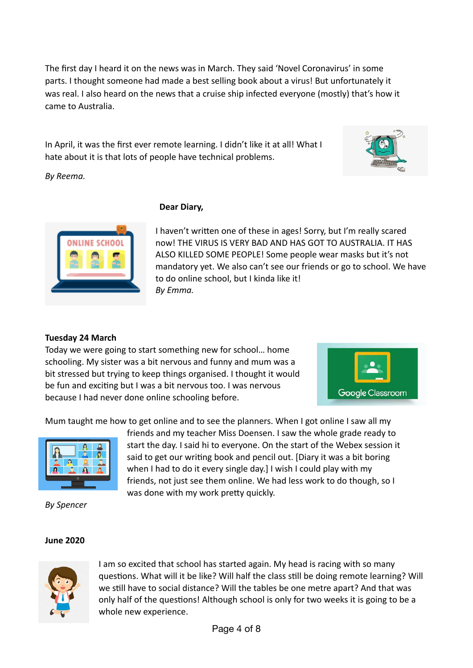The first day I heard it on the news was in March. They said 'Novel Coronavirus' in some parts. I thought someone had made a best selling book about a virus! But unfortunately it was real. I also heard on the news that a cruise ship infected everyone (mostly) that's how it came to Australia.

In April, it was the first ever remote learning. I didn't like it at all! What I hate about it is that lots of people have technical problems.



*By Reema.* 



#### **Dear Diary,**

I haven't written one of these in ages! Sorry, but I'm really scared now! THE VIRUS IS VERY BAD AND HAS GOT TO AUSTRALIA. IT HAS ALSO KILLED SOME PEOPLE! Some people wear masks but it's not mandatory yet. We also can't see our friends or go to school. We have to do online school, but I kinda like it! *By Emma.* 

## **Tuesday 24 March**

Today we were going to start something new for school… home schooling. My sister was a bit nervous and funny and mum was a bit stressed but trying to keep things organised. I thought it would be fun and exciting but I was a bit nervous too. I was nervous because I had never done online schooling before.



Mum taught me how to get online and to see the planners. When I got online I saw all my



*By Spencer* 

friends and my teacher Miss Doensen. I saw the whole grade ready to start the day. I said hi to everyone. On the start of the Webex session it said to get our writing book and pencil out. [Diary it was a bit boring when I had to do it every single day.] I wish I could play with my friends, not just see them online. We had less work to do though, so I was done with my work pretty quickly.

#### **June 2020**



I am so excited that school has started again. My head is racing with so many questions. What will it be like? Will half the class still be doing remote learning? Will we still have to social distance? Will the tables be one metre apart? And that was only half of the questions! Although school is only for two weeks it is going to be a whole new experience.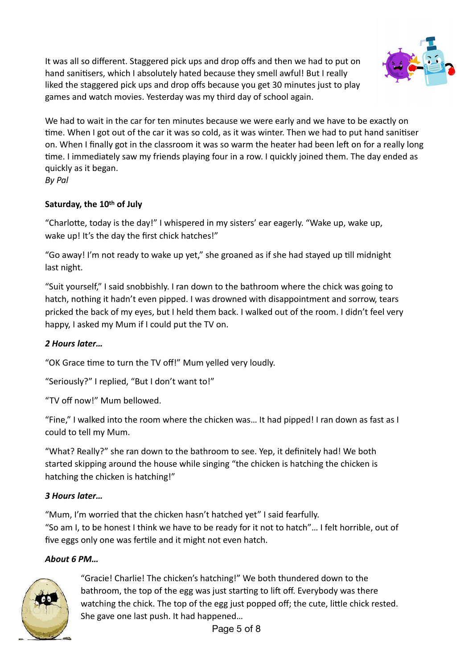It was all so different. Staggered pick ups and drop offs and then we had to put on hand sanitisers, which I absolutely hated because they smell awful! But I really liked the staggered pick ups and drop offs because you get 30 minutes just to play games and watch movies. Yesterday was my third day of school again.



We had to wait in the car for ten minutes because we were early and we have to be exactly on time. When I got out of the car it was so cold, as it was winter. Then we had to put hand sanitiser on. When I finally got in the classroom it was so warm the heater had been left on for a really long time. I immediately saw my friends playing four in a row. I quickly joined them. The day ended as quickly as it began.

*By Pal* 

## **Saturday, the 10th of July**

"Charlotte, today is the day!" I whispered in my sisters' ear eagerly. "Wake up, wake up, wake up! It's the day the first chick hatches!"

"Go away! I'm not ready to wake up yet," she groaned as if she had stayed up till midnight last night.

"Suit yourself," I said snobbishly. I ran down to the bathroom where the chick was going to hatch, nothing it hadn't even pipped. I was drowned with disappointment and sorrow, tears pricked the back of my eyes, but I held them back. I walked out of the room. I didn't feel very happy, I asked my Mum if I could put the TV on.

## *2 Hours later…*

"OK Grace time to turn the TV off!" Mum yelled very loudly.

"Seriously?" I replied, "But I don't want to!"

"TV off now!" Mum bellowed.

"Fine," I walked into the room where the chicken was… It had pipped! I ran down as fast as I could to tell my Mum.

"What? Really?" she ran down to the bathroom to see. Yep, it definitely had! We both started skipping around the house while singing "the chicken is hatching the chicken is hatching the chicken is hatching!"

## *3 Hours later…*

"Mum, I'm worried that the chicken hasn't hatched yet" I said fearfully. "So am I, to be honest I think we have to be ready for it not to hatch"… I felt horrible, out of five eggs only one was fertile and it might not even hatch.

## *About 6 PM…*



"Gracie! Charlie! The chicken's hatching!" We both thundered down to the bathroom, the top of the egg was just starting to lift off. Everybody was there watching the chick. The top of the egg just popped off; the cute, little chick rested. She gave one last push. It had happened…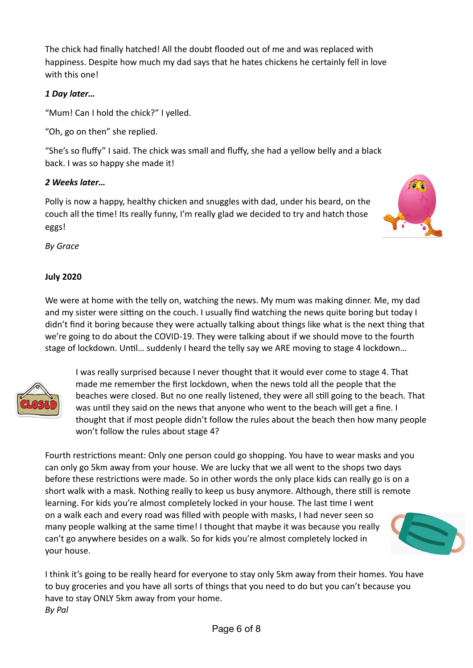The chick had finally hatched! All the doubt flooded out of me and was replaced with happiness. Despite how much my dad says that he hates chickens he certainly fell in love with this one!

## *1 Day later…*

"Mum! Can I hold the chick?" I yelled.

"Oh, go on then" she replied.

"She's so fluffy" I said. The chick was small and fluffy, she had a yellow belly and a black back. I was so happy she made it!

## *2 Weeks later…*

Polly is now a happy, healthy chicken and snuggles with dad, under his beard, on the couch all the time! Its really funny, I'm really glad we decided to try and hatch those eggs!



*By Grace* 

## **July 2020**

We were at home with the telly on, watching the news. My mum was making dinner. Me, my dad and my sister were sitting on the couch. I usually find watching the news quite boring but today I didn't find it boring because they were actually talking about things like what is the next thing that we're going to do about the COVID-19. They were talking about if we should move to the fourth stage of lockdown. Until... suddenly I heard the telly say we ARE moving to stage 4 lockdown...



I was really surprised because I never thought that it would ever come to stage 4. That made me remember the first lockdown, when the news told all the people that the beaches were closed. But no one really listened, they were all still going to the beach. That was until they said on the news that anyone who went to the beach will get a fine. I thought that if most people didn't follow the rules about the beach then how many people won't follow the rules about stage 4?

Fourth restrictions meant: Only one person could go shopping. You have to wear masks and you can only go 5km away from your house. We are lucky that we all went to the shops two days before these restrictions were made. So in other words the only place kids can really go is on a short walk with a mask. Nothing really to keep us busy anymore. Although, there still is remote learning. For kids you're almost completely locked in your house. The last time I went on a walk each and every road was filled with people with masks, I had never seen so many people walking at the same time! I thought that maybe it was because you really can't go anywhere besides on a walk. So for kids you're almost completely locked in your house.



I think it's going to be really heard for everyone to stay only 5km away from their homes. You have to buy groceries and you have all sorts of things that you need to do but you can't because you have to stay ONLY 5km away from your home. *By Pal*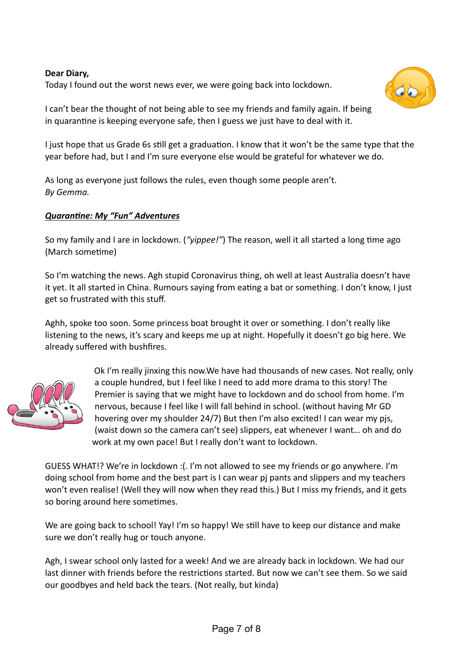#### **Dear Diary,**

Today I found out the worst news ever, we were going back into lockdown.



I can't bear the thought of not being able to see my friends and family again. If being in quarantine is keeping everyone safe, then I guess we just have to deal with it.

I just hope that us Grade 6s still get a graduation. I know that it won't be the same type that the year before had, but I and I'm sure everyone else would be grateful for whatever we do.

As long as everyone just follows the rules, even though some people aren't. *By Gemma.* 

#### **Quarantine: My "Fun" Adventures**

So my family and I are in lockdown. ("*yippee!"*) The reason, well it all started a long time ago (March sometime)

So I'm watching the news. Agh stupid Coronavirus thing, oh well at least Australia doesn't have it yet. It all started in China. Rumours saying from eating a bat or something. I don't know, I just get so frustrated with this stuff.

Aghh, spoke too soon. Some princess boat brought it over or something. I don't really like listening to the news, it's scary and keeps me up at night. Hopefully it doesn't go big here. We already suffered with bushfires.



Ok I'm really jinxing this now.We have had thousands of new cases. Not really, only a couple hundred, but I feel like I need to add more drama to this story! The Premier is saying that we might have to lockdown and do school from home. I'm nervous, because I feel like I will fall behind in school. (without having Mr GD hovering over my shoulder 24/7) But then I'm also excited! I can wear my pjs, (waist down so the camera can't see) slippers, eat whenever I want… oh and do work at my own pace! But I really don't want to lockdown.

GUESS WHAT!? We're in lockdown :(. I'm not allowed to see my friends or go anywhere. I'm doing school from home and the best part is I can wear pj pants and slippers and my teachers won't even realise! (Well they will now when they read this.) But I miss my friends, and it gets so boring around here sometimes.

We are going back to school! Yay! I'm so happy! We still have to keep our distance and make sure we don't really hug or touch anyone.

Agh, I swear school only lasted for a week! And we are already back in lockdown. We had our last dinner with friends before the restrictions started. But now we can't see them. So we said our goodbyes and held back the tears. (Not really, but kinda)